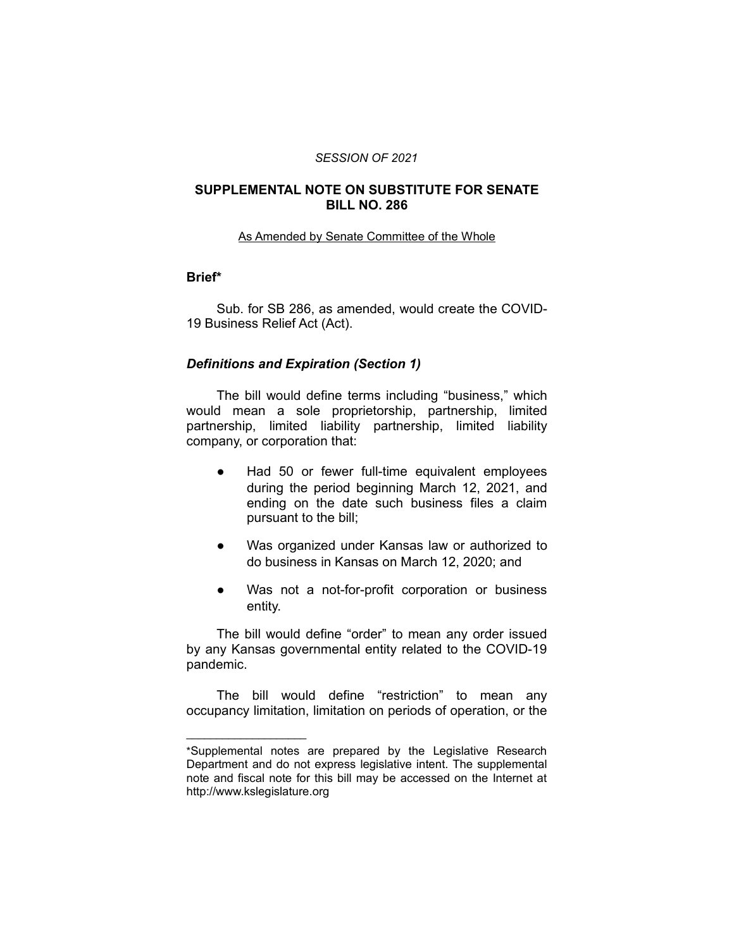#### *SESSION OF 2021*

#### **SUPPLEMENTAL NOTE ON SUBSTITUTE FOR SENATE BILL NO. 286**

#### As Amended by Senate Committee of the Whole

### **Brief\***

Sub. for SB 286, as amended, would create the COVID-19 Business Relief Act (Act).

#### *Definitions and Expiration (Section 1)*

The bill would define terms including "business," which would mean a sole proprietorship, partnership, limited partnership, limited liability partnership, limited liability company, or corporation that:

- Had 50 or fewer full-time equivalent employees during the period beginning March 12, 2021, and ending on the date such business files a claim pursuant to the bill;
- Was organized under Kansas law or authorized to do business in Kansas on March 12, 2020; and
- Was not a not-for-profit corporation or business entity.

The bill would define "order" to mean any order issued by any Kansas governmental entity related to the COVID-19 pandemic.

The bill would define "restriction" to mean any occupancy limitation, limitation on periods of operation, or the

 $\overline{\phantom{a}}$  , where  $\overline{\phantom{a}}$  , where  $\overline{\phantom{a}}$ 

<sup>\*</sup>Supplemental notes are prepared by the Legislative Research Department and do not express legislative intent. The supplemental note and fiscal note for this bill may be accessed on the Internet at http://www.kslegislature.org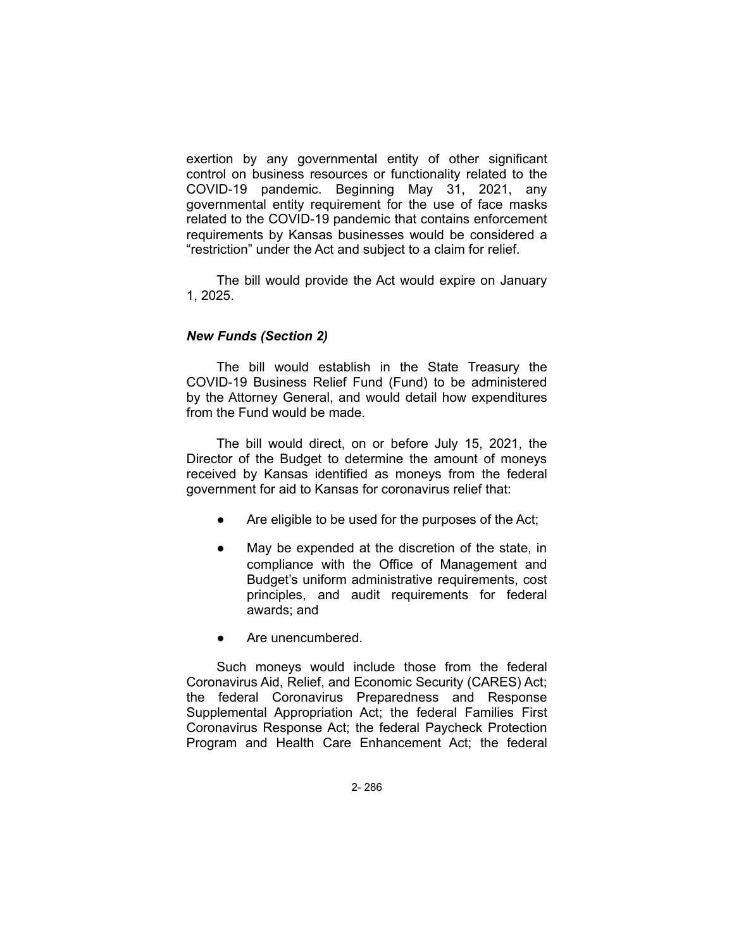exertion by any governmental entity of other significant control on business resources or functionality related to the COVID-19 pandemic. Beginning May 31, 2021, any governmental entity requirement for the use of face masks related to the COVID-19 pandemic that contains enforcement requirements by Kansas businesses would be considered a "restriction" under the Act and subject to a claim for relief.

The bill would provide the Act would expire on January 1, 2025.

## *New Funds (Section 2)*

The bill would establish in the State Treasury the COVID-19 Business Relief Fund (Fund) to be administered by the Attorney General, and would detail how expenditures from the Fund would be made.

The bill would direct, on or before July 15, 2021, the Director of the Budget to determine the amount of moneys received by Kansas identified as moneys from the federal government for aid to Kansas for coronavirus relief that:

- Are eligible to be used for the purposes of the Act;
- May be expended at the discretion of the state, in compliance with the Office of Management and Budget's uniform administrative requirements, cost principles, and audit requirements for federal awards; and
- Are unencumbered.

Such moneys would include those from the federal Coronavirus Aid, Relief, and Economic Security (CARES) Act; the federal Coronavirus Preparedness and Response Supplemental Appropriation Act; the federal Families First Coronavirus Response Act; the federal Paycheck Protection Program and Health Care Enhancement Act; the federal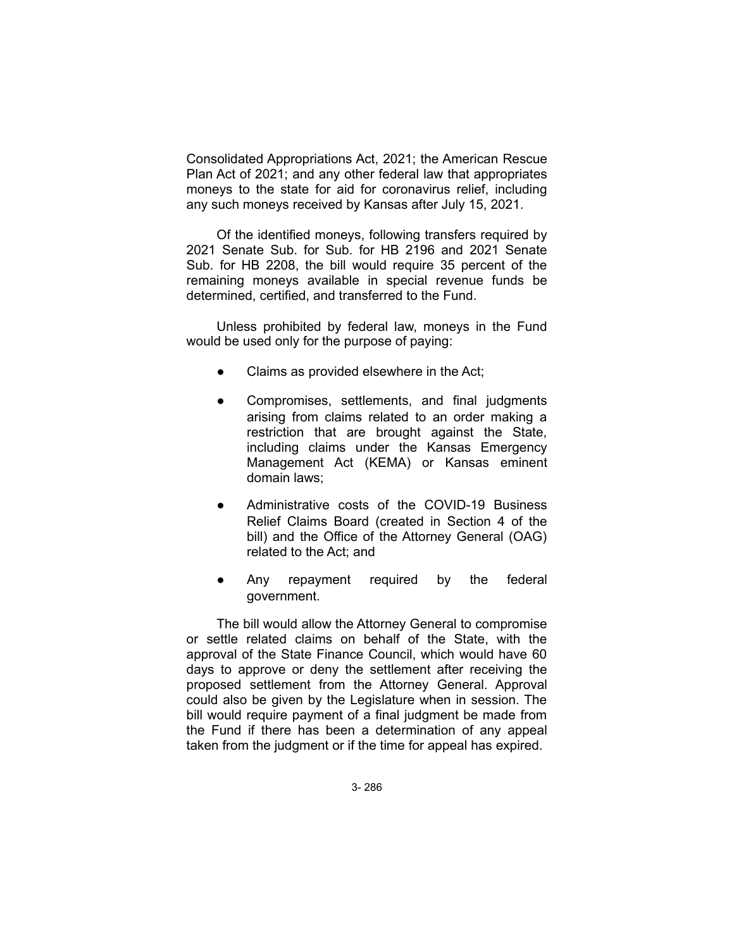Consolidated Appropriations Act, 2021; the American Rescue Plan Act of 2021; and any other federal law that appropriates moneys to the state for aid for coronavirus relief, including any such moneys received by Kansas after July 15, 2021.

Of the identified moneys, following transfers required by 2021 Senate Sub. for Sub. for HB 2196 and 2021 Senate Sub. for HB 2208, the bill would require 35 percent of the remaining moneys available in special revenue funds be determined, certified, and transferred to the Fund.

Unless prohibited by federal law, moneys in the Fund would be used only for the purpose of paying:

- Claims as provided elsewhere in the Act;
- Compromises, settlements, and final judgments arising from claims related to an order making a restriction that are brought against the State, including claims under the Kansas Emergency Management Act (KEMA) or Kansas eminent domain laws;
- Administrative costs of the COVID-19 Business Relief Claims Board (created in Section 4 of the bill) and the Office of the Attorney General (OAG) related to the Act; and
- Any repayment required by the federal government.

The bill would allow the Attorney General to compromise or settle related claims on behalf of the State, with the approval of the State Finance Council, which would have 60 days to approve or deny the settlement after receiving the proposed settlement from the Attorney General. Approval could also be given by the Legislature when in session. The bill would require payment of a final judgment be made from the Fund if there has been a determination of any appeal taken from the judgment or if the time for appeal has expired.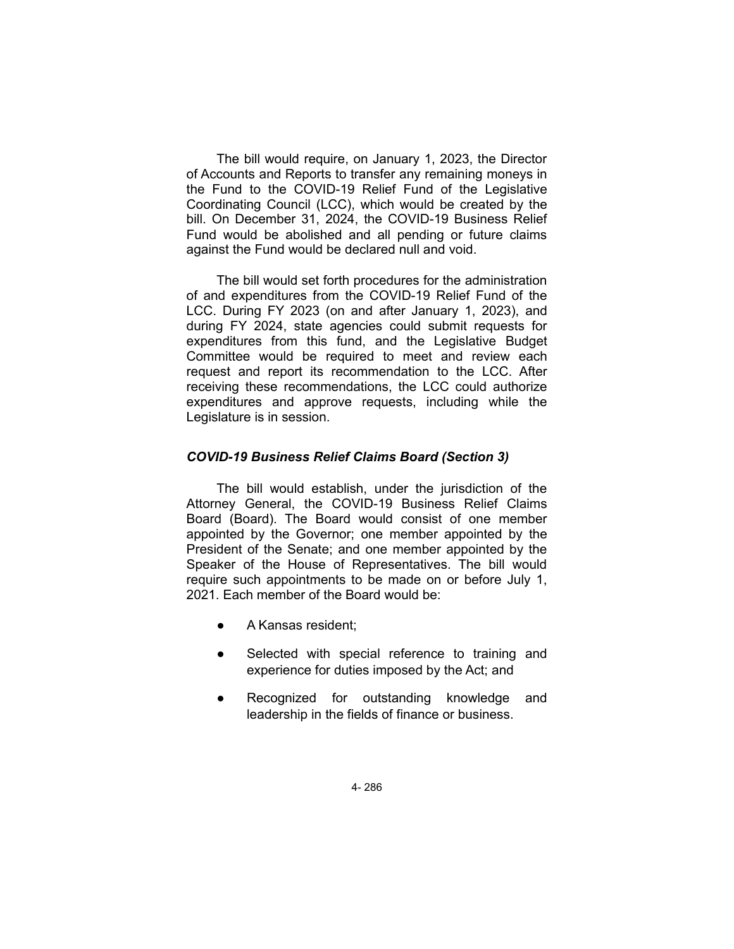The bill would require, on January 1, 2023, the Director of Accounts and Reports to transfer any remaining moneys in the Fund to the COVID-19 Relief Fund of the Legislative Coordinating Council (LCC), which would be created by the bill. On December 31, 2024, the COVID-19 Business Relief Fund would be abolished and all pending or future claims against the Fund would be declared null and void.

The bill would set forth procedures for the administration of and expenditures from the COVID-19 Relief Fund of the LCC. During FY 2023 (on and after January 1, 2023), and during FY 2024, state agencies could submit requests for expenditures from this fund, and the Legislative Budget Committee would be required to meet and review each request and report its recommendation to the LCC. After receiving these recommendations, the LCC could authorize expenditures and approve requests, including while the Legislature is in session.

### *COVID-19 Business Relief Claims Board (Section 3)*

The bill would establish, under the jurisdiction of the Attorney General, the COVID-19 Business Relief Claims Board (Board). The Board would consist of one member appointed by the Governor; one member appointed by the President of the Senate; and one member appointed by the Speaker of the House of Representatives. The bill would require such appointments to be made on or before July 1, 2021. Each member of the Board would be:

- A Kansas resident;
- Selected with special reference to training and experience for duties imposed by the Act; and
- Recognized for outstanding knowledge and leadership in the fields of finance or business.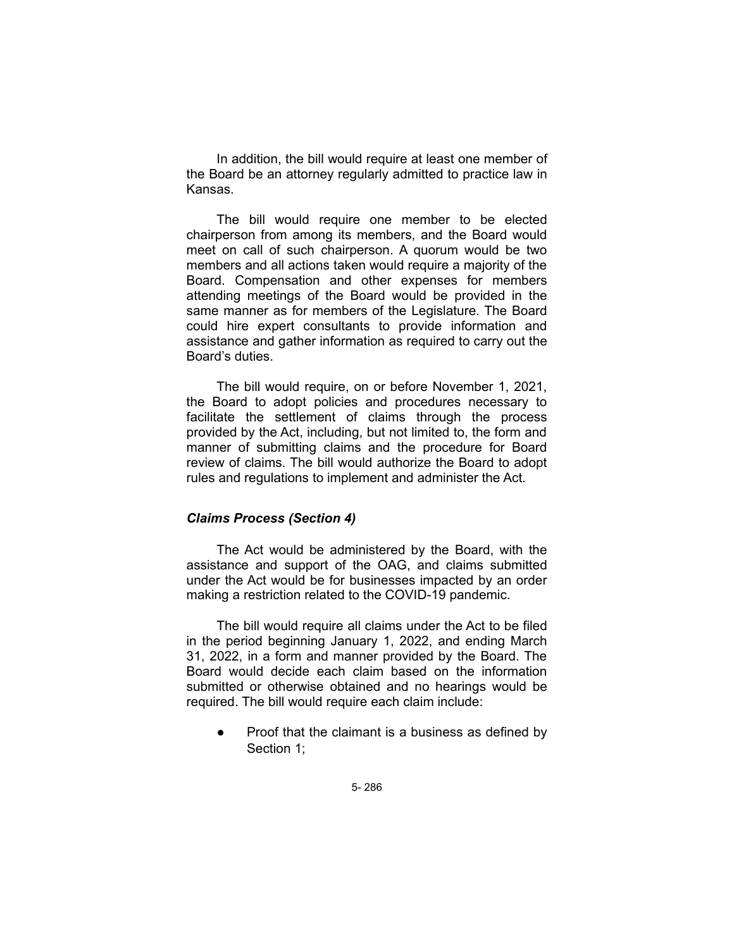In addition, the bill would require at least one member of the Board be an attorney regularly admitted to practice law in Kansas.

The bill would require one member to be elected chairperson from among its members, and the Board would meet on call of such chairperson. A quorum would be two members and all actions taken would require a majority of the Board. Compensation and other expenses for members attending meetings of the Board would be provided in the same manner as for members of the Legislature. The Board could hire expert consultants to provide information and assistance and gather information as required to carry out the Board's duties.

The bill would require, on or before November 1, 2021, the Board to adopt policies and procedures necessary to facilitate the settlement of claims through the process provided by the Act, including, but not limited to, the form and manner of submitting claims and the procedure for Board review of claims. The bill would authorize the Board to adopt rules and regulations to implement and administer the Act.

#### *Claims Process (Section 4)*

The Act would be administered by the Board, with the assistance and support of the OAG, and claims submitted under the Act would be for businesses impacted by an order making a restriction related to the COVID-19 pandemic.

The bill would require all claims under the Act to be filed in the period beginning January 1, 2022, and ending March 31, 2022, in a form and manner provided by the Board. The Board would decide each claim based on the information submitted or otherwise obtained and no hearings would be required. The bill would require each claim include:

● Proof that the claimant is a business as defined by Section 1;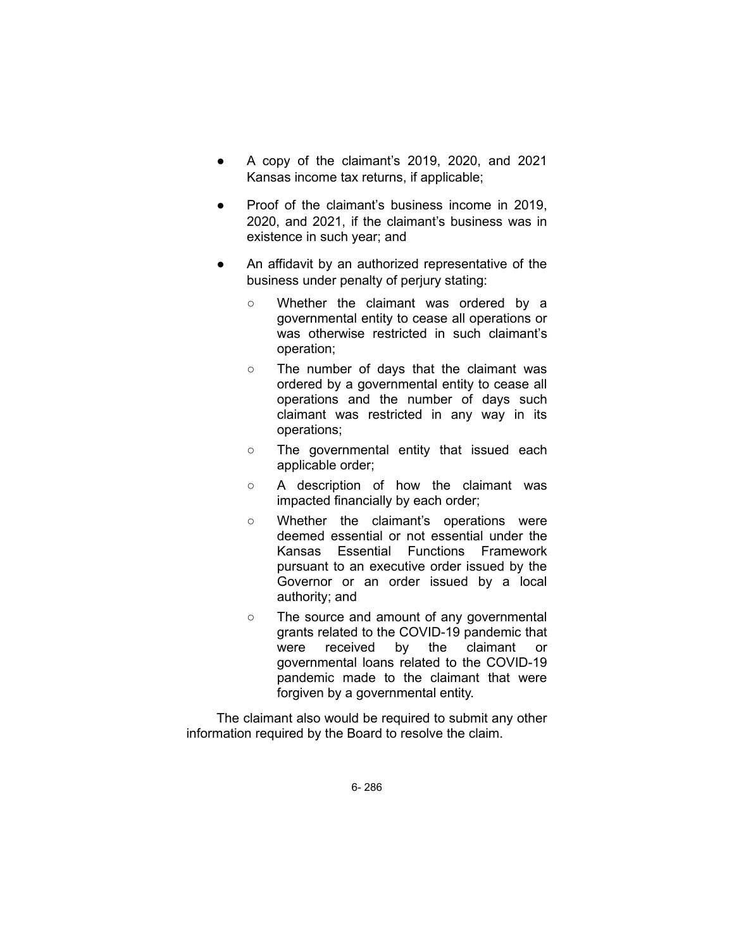- A copy of the claimant's  $2019$ ,  $2020$ , and  $2021$ Kansas income tax returns, if applicable;
- Proof of the claimant's business income in 2019, 2020, and 2021, if the claimant's business was in existence in such year; and
- An affidavit by an authorized representative of the business under penalty of perjury stating:
	- Whether the claimant was ordered by a governmental entity to cease all operations or was otherwise restricted in such claimant's operation;
	- The number of days that the claimant was ordered by a governmental entity to cease all operations and the number of days such claimant was restricted in any way in its operations;
	- The governmental entity that issued each applicable order;
	- A description of how the claimant was impacted financially by each order;
	- Whether the claimant's operations were deemed essential or not essential under the Kansas Essential Functions Framework pursuant to an executive order issued by the Governor or an order issued by a local authority; and
	- The source and amount of any governmental grants related to the COVID-19 pandemic that were received by the claimant or governmental loans related to the COVID-19 pandemic made to the claimant that were forgiven by a governmental entity.

The claimant also would be required to submit any other information required by the Board to resolve the claim.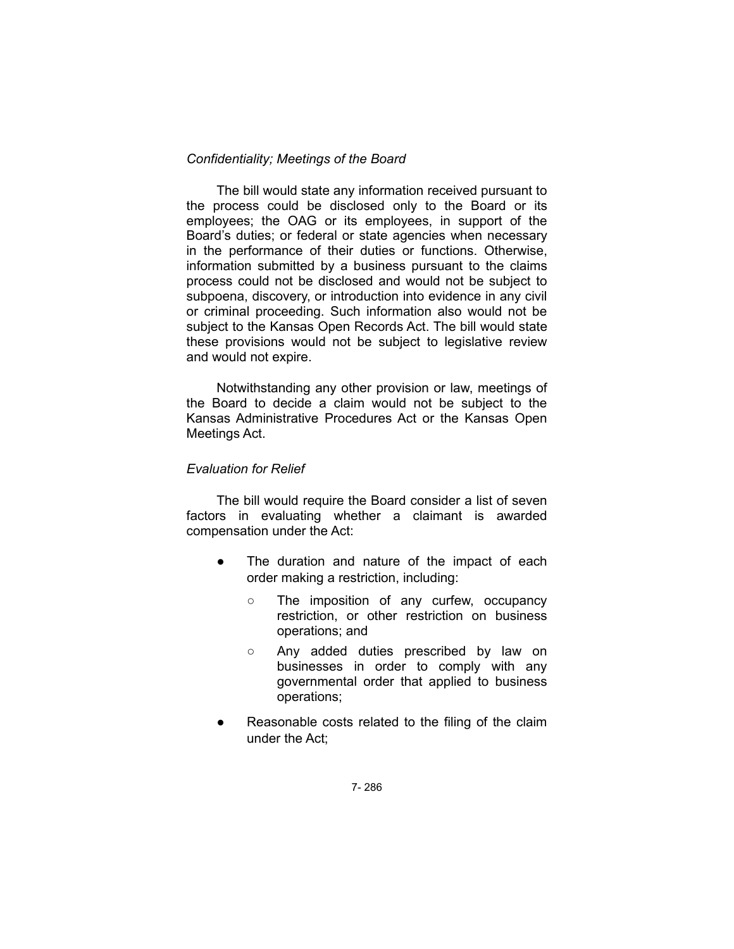#### *Confidentiality; Meetings of the Board*

The bill would state any information received pursuant to the process could be disclosed only to the Board or its employees; the OAG or its employees, in support of the Board's duties; or federal or state agencies when necessary in the performance of their duties or functions. Otherwise, information submitted by a business pursuant to the claims process could not be disclosed and would not be subject to subpoena, discovery, or introduction into evidence in any civil or criminal proceeding. Such information also would not be subject to the Kansas Open Records Act. The bill would state these provisions would not be subject to legislative review and would not expire.

Notwithstanding any other provision or law, meetings of the Board to decide a claim would not be subject to the Kansas Administrative Procedures Act or the Kansas Open Meetings Act.

#### *Evaluation for Relief*

The bill would require the Board consider a list of seven factors in evaluating whether a claimant is awarded compensation under the Act:

- The duration and nature of the impact of each order making a restriction, including:
	- The imposition of any curfew, occupancy restriction, or other restriction on business operations; and
	- Any added duties prescribed by law on businesses in order to comply with any governmental order that applied to business operations;
- Reasonable costs related to the filing of the claim under the Act;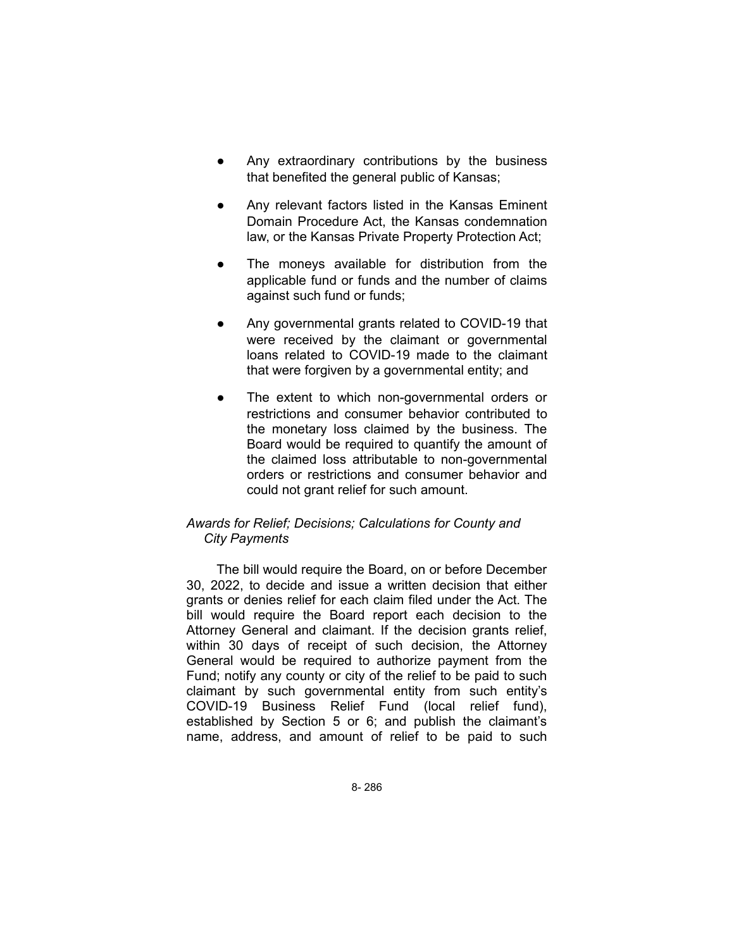- Any extraordinary contributions by the business that benefited the general public of Kansas;
- Any relevant factors listed in the Kansas Eminent Domain Procedure Act, the Kansas condemnation law, or the Kansas Private Property Protection Act;
- The moneys available for distribution from the applicable fund or funds and the number of claims against such fund or funds;
- Any governmental grants related to COVID-19 that were received by the claimant or governmental loans related to COVID-19 made to the claimant that were forgiven by a governmental entity; and
- The extent to which non-governmental orders or restrictions and consumer behavior contributed to the monetary loss claimed by the business. The Board would be required to quantify the amount of the claimed loss attributable to non-governmental orders or restrictions and consumer behavior and could not grant relief for such amount.

## *Awards for Relief; Decisions; Calculations for County and City Payments*

The bill would require the Board, on or before December 30, 2022, to decide and issue a written decision that either grants or denies relief for each claim filed under the Act. The bill would require the Board report each decision to the Attorney General and claimant. If the decision grants relief, within 30 days of receipt of such decision, the Attorney General would be required to authorize payment from the Fund; notify any county or city of the relief to be paid to such claimant by such governmental entity from such entity's COVID-19 Business Relief Fund (local relief fund), established by Section 5 or 6; and publish the claimant's name, address, and amount of relief to be paid to such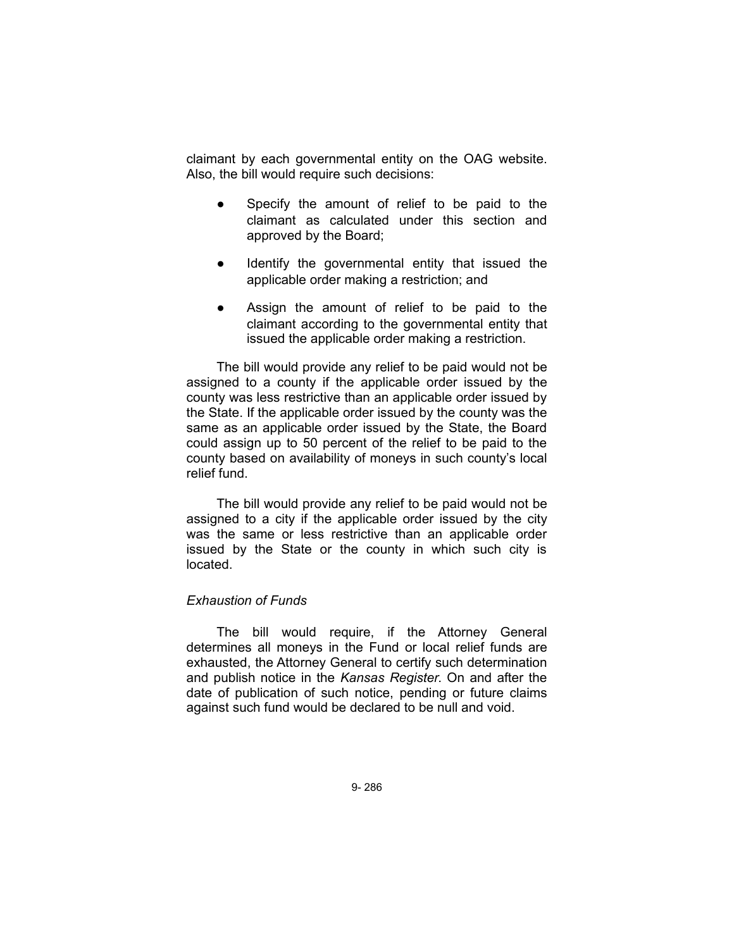claimant by each governmental entity on the OAG website. Also, the bill would require such decisions:

- Specify the amount of relief to be paid to the claimant as calculated under this section and approved by the Board;
- Identify the governmental entity that issued the applicable order making a restriction; and
- Assign the amount of relief to be paid to the claimant according to the governmental entity that issued the applicable order making a restriction.

The bill would provide any relief to be paid would not be assigned to a county if the applicable order issued by the county was less restrictive than an applicable order issued by the State. If the applicable order issued by the county was the same as an applicable order issued by the State, the Board could assign up to 50 percent of the relief to be paid to the county based on availability of moneys in such county's local relief fund.

The bill would provide any relief to be paid would not be assigned to a city if the applicable order issued by the city was the same or less restrictive than an applicable order issued by the State or the county in which such city is located.

### *Exhaustion of Funds*

The bill would require, if the Attorney General determines all moneys in the Fund or local relief funds are exhausted, the Attorney General to certify such determination and publish notice in the *Kansas Register*. On and after the date of publication of such notice, pending or future claims against such fund would be declared to be null and void.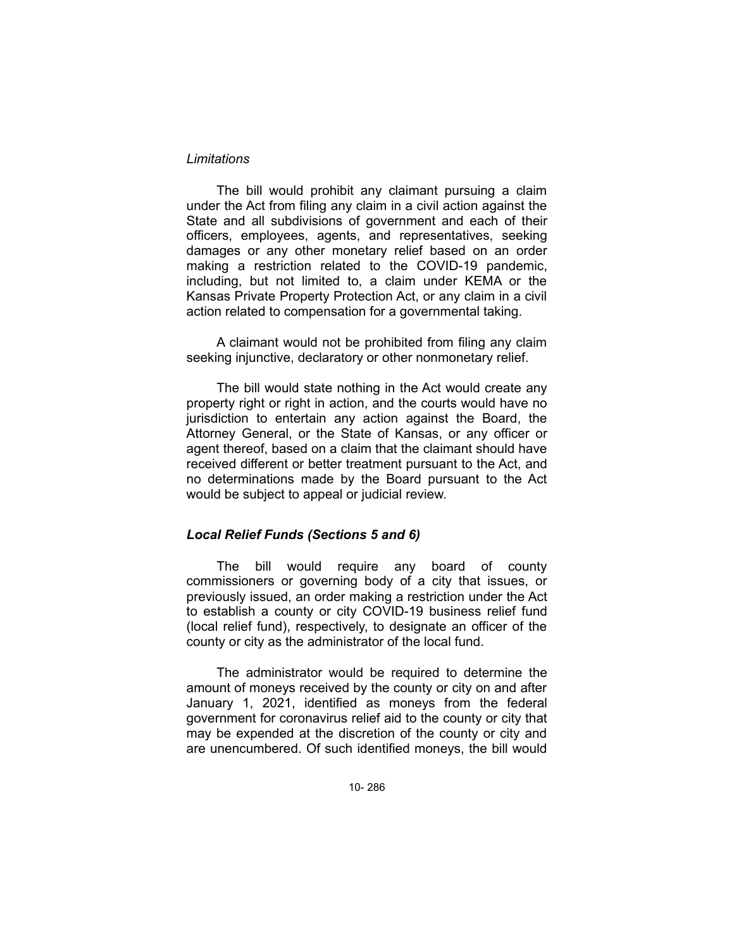#### *Limitations*

The bill would prohibit any claimant pursuing a claim under the Act from filing any claim in a civil action against the State and all subdivisions of government and each of their officers, employees, agents, and representatives, seeking damages or any other monetary relief based on an order making a restriction related to the COVID-19 pandemic, including, but not limited to, a claim under KEMA or the Kansas Private Property Protection Act, or any claim in a civil action related to compensation for a governmental taking.

A claimant would not be prohibited from filing any claim seeking injunctive, declaratory or other nonmonetary relief.

The bill would state nothing in the Act would create any property right or right in action, and the courts would have no jurisdiction to entertain any action against the Board, the Attorney General, or the State of Kansas, or any officer or agent thereof, based on a claim that the claimant should have received different or better treatment pursuant to the Act, and no determinations made by the Board pursuant to the Act would be subject to appeal or judicial review.

#### *Local Relief Funds (Sections 5 and 6)*

The bill would require any board of county commissioners or governing body of a city that issues, or previously issued, an order making a restriction under the Act to establish a county or city COVID-19 business relief fund (local relief fund), respectively, to designate an officer of the county or city as the administrator of the local fund.

The administrator would be required to determine the amount of moneys received by the county or city on and after January 1, 2021, identified as moneys from the federal government for coronavirus relief aid to the county or city that may be expended at the discretion of the county or city and are unencumbered. Of such identified moneys, the bill would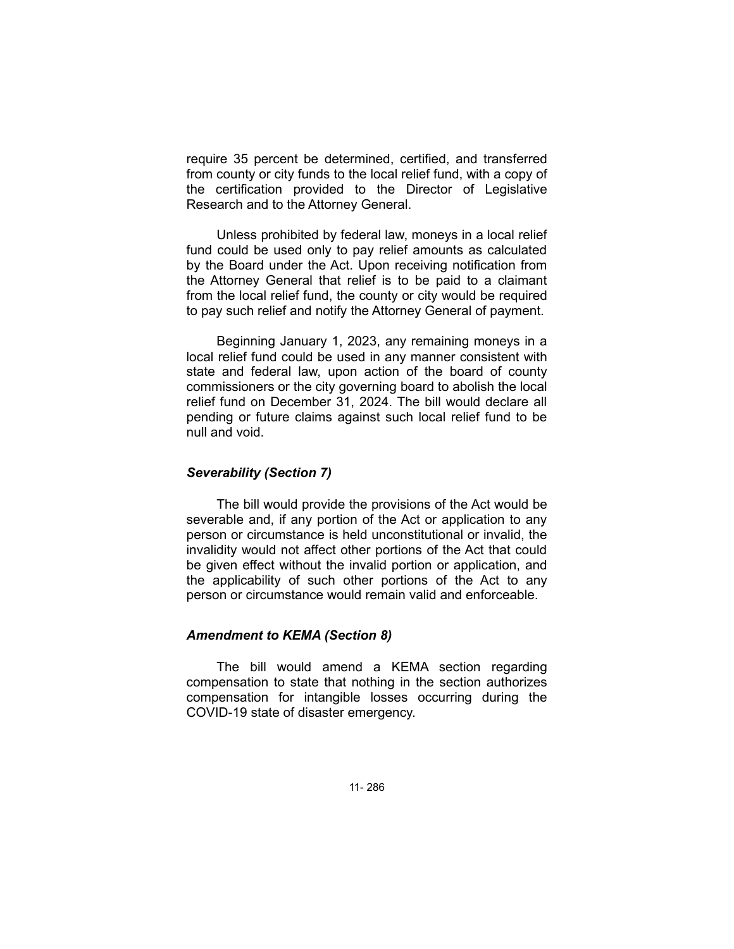require 35 percent be determined, certified, and transferred from county or city funds to the local relief fund, with a copy of the certification provided to the Director of Legislative Research and to the Attorney General.

Unless prohibited by federal law, moneys in a local relief fund could be used only to pay relief amounts as calculated by the Board under the Act. Upon receiving notification from the Attorney General that relief is to be paid to a claimant from the local relief fund, the county or city would be required to pay such relief and notify the Attorney General of payment.

Beginning January 1, 2023, any remaining moneys in a local relief fund could be used in any manner consistent with state and federal law, upon action of the board of county commissioners or the city governing board to abolish the local relief fund on December 31, 2024. The bill would declare all pending or future claims against such local relief fund to be null and void.

#### *Severability (Section 7)*

The bill would provide the provisions of the Act would be severable and, if any portion of the Act or application to any person or circumstance is held unconstitutional or invalid, the invalidity would not affect other portions of the Act that could be given effect without the invalid portion or application, and the applicability of such other portions of the Act to any person or circumstance would remain valid and enforceable.

#### *Amendment to KEMA (Section 8)*

The bill would amend a KEMA section regarding compensation to state that nothing in the section authorizes compensation for intangible losses occurring during the COVID-19 state of disaster emergency.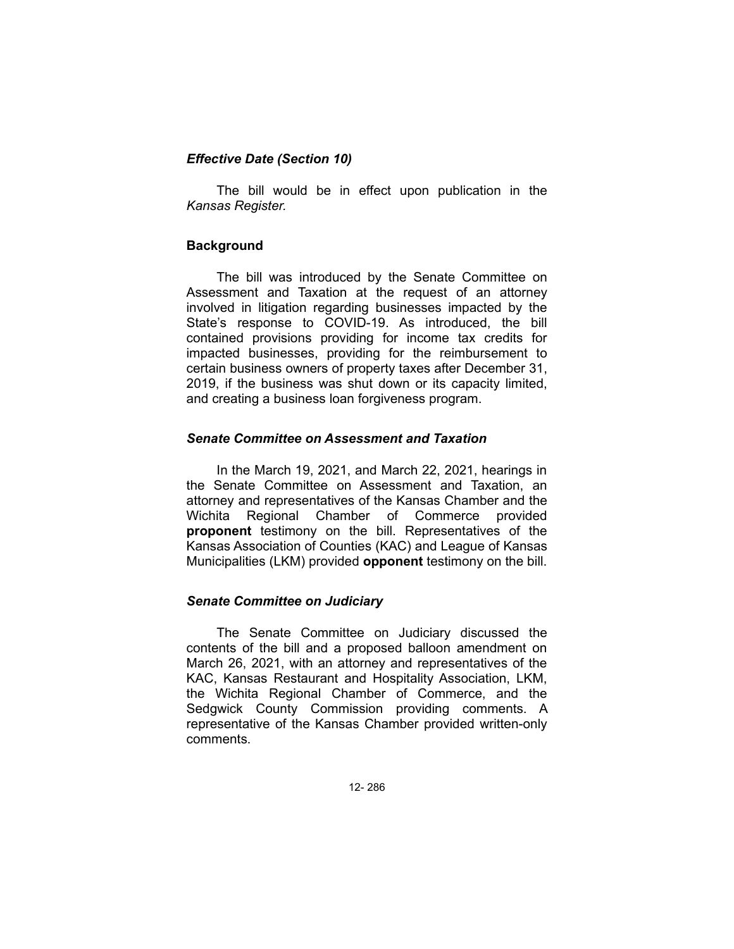### *Effective Date (Section 10)*

The bill would be in effect upon publication in the *Kansas Register.*

### **Background**

The bill was introduced by the Senate Committee on Assessment and Taxation at the request of an attorney involved in litigation regarding businesses impacted by the State's response to COVID-19. As introduced, the bill contained provisions providing for income tax credits for impacted businesses, providing for the reimbursement to certain business owners of property taxes after December 31, 2019, if the business was shut down or its capacity limited, and creating a business loan forgiveness program.

### *Senate Committee on Assessment and Taxation*

In the March 19, 2021, and March 22, 2021, hearings in the Senate Committee on Assessment and Taxation, an attorney and representatives of the Kansas Chamber and the Wichita Regional Chamber of Commerce provided **proponent** testimony on the bill. Representatives of the Kansas Association of Counties (KAC) and League of Kansas Municipalities (LKM) provided **opponent** testimony on the bill.

## *Senate Committee on Judiciary*

The Senate Committee on Judiciary discussed the contents of the bill and a proposed balloon amendment on March 26, 2021, with an attorney and representatives of the KAC, Kansas Restaurant and Hospitality Association, LKM, the Wichita Regional Chamber of Commerce, and the Sedgwick County Commission providing comments. A representative of the Kansas Chamber provided written-only comments.

12- 286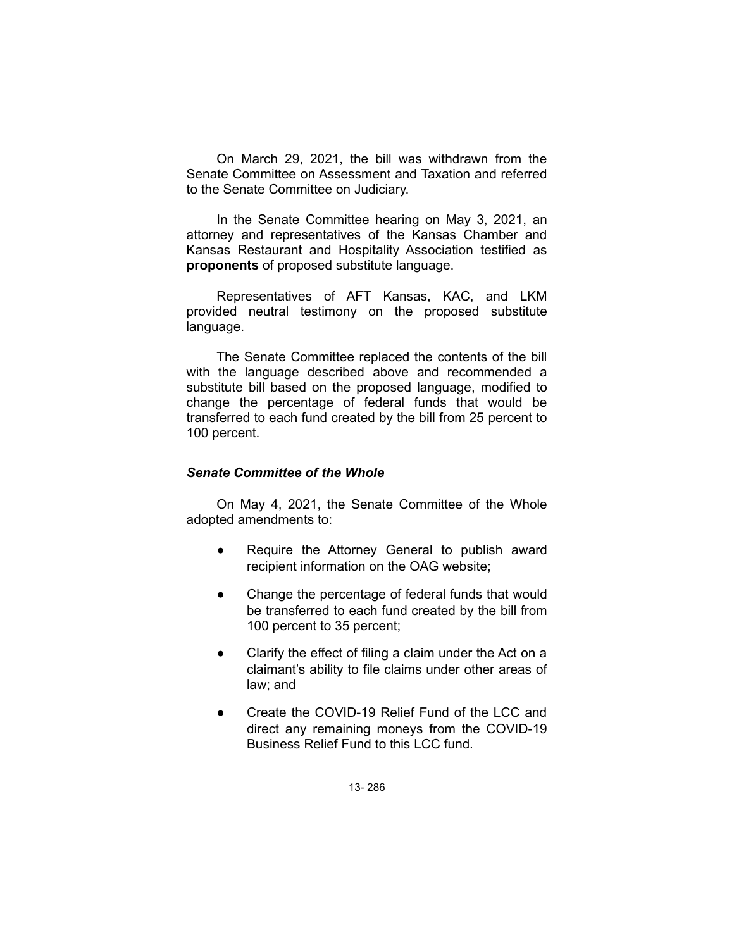On March 29, 2021, the bill was withdrawn from the Senate Committee on Assessment and Taxation and referred to the Senate Committee on Judiciary.

In the Senate Committee hearing on May 3, 2021, an attorney and representatives of the Kansas Chamber and Kansas Restaurant and Hospitality Association testified as **proponents** of proposed substitute language.

Representatives of AFT Kansas, KAC, and LKM provided neutral testimony on the proposed substitute language.

The Senate Committee replaced the contents of the bill with the language described above and recommended a substitute bill based on the proposed language, modified to change the percentage of federal funds that would be transferred to each fund created by the bill from 25 percent to 100 percent.

#### *Senate Committee of the Whole*

On May 4, 2021, the Senate Committee of the Whole adopted amendments to:

- Require the Attorney General to publish award recipient information on the OAG website;
- Change the percentage of federal funds that would be transferred to each fund created by the bill from 100 percent to 35 percent;
- Clarify the effect of filing a claim under the Act on a claimant's ability to file claims under other areas of law; and
- Create the COVID-19 Relief Fund of the LCC and direct any remaining moneys from the COVID-19 Business Relief Fund to this LCC fund.